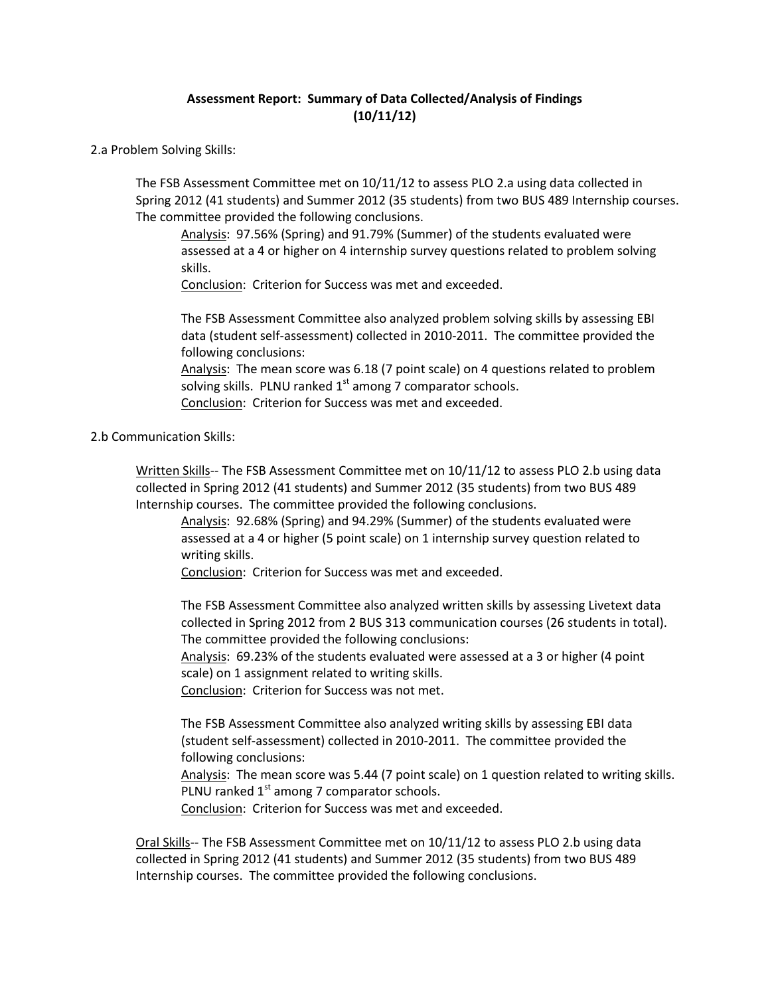## **Assessment Report: Summary of Data Collected/Analysis of Findings (10/11/12)**

2.a Problem Solving Skills:

The FSB Assessment Committee met on 10/11/12 to assess PLO 2.a using data collected in Spring 2012 (41 students) and Summer 2012 (35 students) from two BUS 489 Internship courses. The committee provided the following conclusions.

Analysis: 97.56% (Spring) and 91.79% (Summer) of the students evaluated were assessed at a 4 or higher on 4 internship survey questions related to problem solving skills.

Conclusion: Criterion for Success was met and exceeded.

The FSB Assessment Committee also analyzed problem solving skills by assessing EBI data (student self-assessment) collected in 2010-2011. The committee provided the following conclusions:

Analysis: The mean score was 6.18 (7 point scale) on 4 questions related to problem solving skills. PLNU ranked  $1<sup>st</sup>$  among 7 comparator schools.

Conclusion: Criterion for Success was met and exceeded.

2.b Communication Skills:

Written Skills-- The FSB Assessment Committee met on 10/11/12 to assess PLO 2.b using data collected in Spring 2012 (41 students) and Summer 2012 (35 students) from two BUS 489 Internship courses. The committee provided the following conclusions.

Analysis: 92.68% (Spring) and 94.29% (Summer) of the students evaluated were assessed at a 4 or higher (5 point scale) on 1 internship survey question related to writing skills.

Conclusion: Criterion for Success was met and exceeded.

The FSB Assessment Committee also analyzed written skills by assessing Livetext data collected in Spring 2012 from 2 BUS 313 communication courses (26 students in total). The committee provided the following conclusions:

Analysis: 69.23% of the students evaluated were assessed at a 3 or higher (4 point scale) on 1 assignment related to writing skills.

Conclusion: Criterion for Success was not met.

The FSB Assessment Committee also analyzed writing skills by assessing EBI data (student self-assessment) collected in 2010-2011. The committee provided the following conclusions:

Analysis: The mean score was 5.44 (7 point scale) on 1 question related to writing skills. PLNU ranked  $1<sup>st</sup>$  among 7 comparator schools.

Conclusion: Criterion for Success was met and exceeded.

Oral Skills-- The FSB Assessment Committee met on 10/11/12 to assess PLO 2.b using data collected in Spring 2012 (41 students) and Summer 2012 (35 students) from two BUS 489 Internship courses. The committee provided the following conclusions.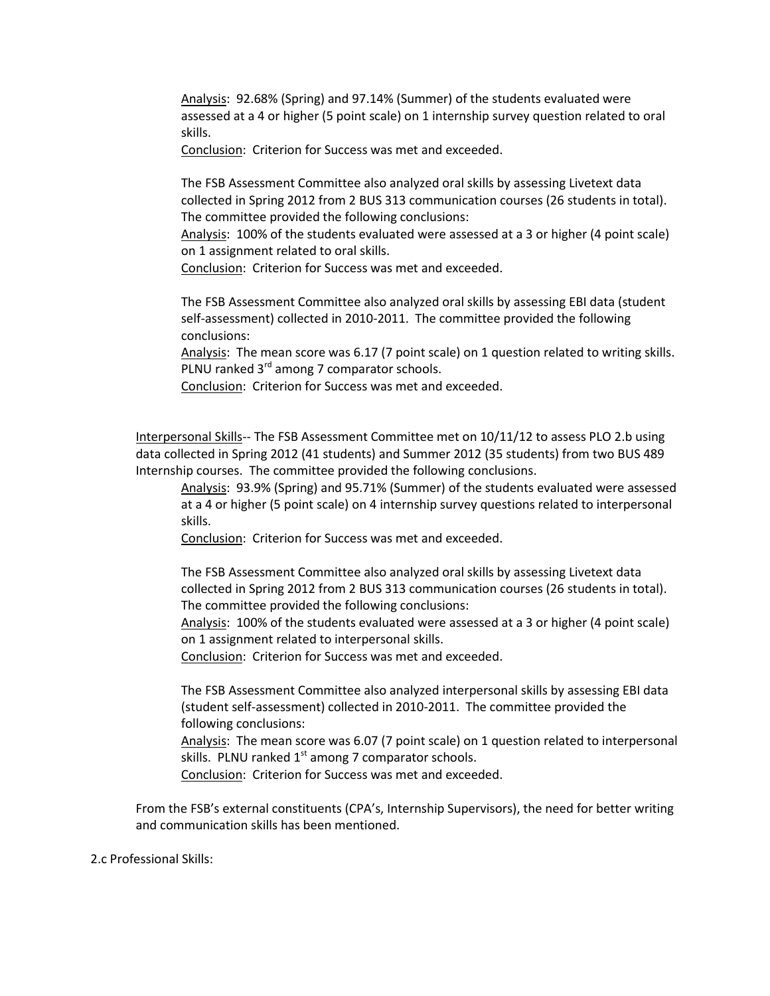Analysis: 92.68% (Spring) and 97.14% (Summer) of the students evaluated were assessed at a 4 or higher (5 point scale) on 1 internship survey question related to oral skills.

Conclusion: Criterion for Success was met and exceeded.

The FSB Assessment Committee also analyzed oral skills by assessing Livetext data collected in Spring 2012 from 2 BUS 313 communication courses (26 students in total). The committee provided the following conclusions:

Analysis: 100% of the students evaluated were assessed at a 3 or higher (4 point scale) on 1 assignment related to oral skills.

Conclusion: Criterion for Success was met and exceeded.

The FSB Assessment Committee also analyzed oral skills by assessing EBI data (student self-assessment) collected in 2010-2011. The committee provided the following conclusions:

Analysis: The mean score was 6.17 (7 point scale) on 1 question related to writing skills. PLNU ranked 3<sup>rd</sup> among 7 comparator schools.

Conclusion: Criterion for Success was met and exceeded.

Interpersonal Skills-- The FSB Assessment Committee met on 10/11/12 to assess PLO 2.b using data collected in Spring 2012 (41 students) and Summer 2012 (35 students) from two BUS 489 Internship courses. The committee provided the following conclusions.

Analysis: 93.9% (Spring) and 95.71% (Summer) of the students evaluated were assessed at a 4 or higher (5 point scale) on 4 internship survey questions related to interpersonal skills.

Conclusion: Criterion for Success was met and exceeded.

The FSB Assessment Committee also analyzed oral skills by assessing Livetext data collected in Spring 2012 from 2 BUS 313 communication courses (26 students in total). The committee provided the following conclusions:

Analysis: 100% of the students evaluated were assessed at a 3 or higher (4 point scale) on 1 assignment related to interpersonal skills.

Conclusion: Criterion for Success was met and exceeded.

The FSB Assessment Committee also analyzed interpersonal skills by assessing EBI data (student self-assessment) collected in 2010-2011. The committee provided the following conclusions:

Analysis: The mean score was 6.07 (7 point scale) on 1 question related to interpersonal skills. PLNU ranked  $1<sup>st</sup>$  among 7 comparator schools.

Conclusion: Criterion for Success was met and exceeded.

From the FSB's external constituents (CPA's, Internship Supervisors), the need for better writing and communication skills has been mentioned.

2.c Professional Skills: